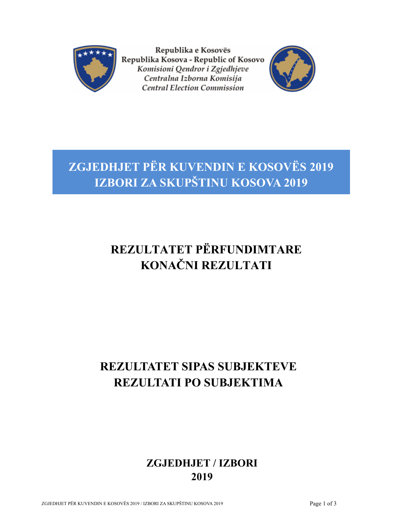

Republika e Kosovës Republika Kosova - Republic of Kosovo Komisioni Qendror i Zgjedhjeve Centralna Izborna Komisija **Central Election Commission** 



## **ZGJEDHJET PËR KUVENDIN E KOSOVËS 2019 IZBORI ZA SKUPŠTINU KOSOVA 2019**

## **REZULTATET PËRFUNDIMTARE KONAČNI REZULTATI**

## **REZULTATET SIPAS SUBJEKTEVE REZULTATI PO SUBJEKTIMA**

## **ZGJEDHJET / IZBORI 2019**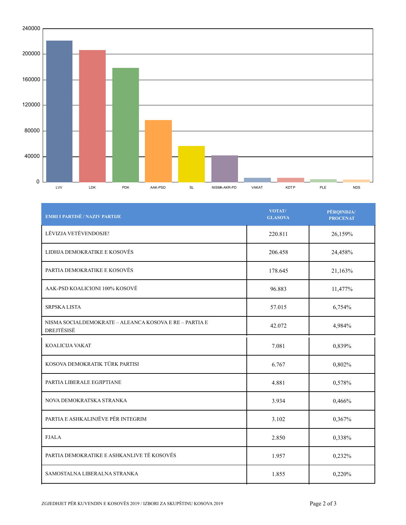

| <b>EMRI I PARTISË / NAZIV PARTIJE</b>                                | VOTAT/<br><b>GLASOVA</b> | PËRQINDJA/<br><b>PROCENAT</b> |
|----------------------------------------------------------------------|--------------------------|-------------------------------|
| LËVIZJA VETËVENDOSJE!                                                | 220.811                  | 26,159%                       |
| LIDHJA DEMOKRATIKE E KOSOVËS                                         | 206.458                  | 24,458%                       |
| PARTIA DEMOKRATIKE E KOSOVËS                                         | 178.645                  | 21,163%                       |
| AAK-PSD KOALICIONI 100% KOSOVË                                       | 96.883                   | 11,477%                       |
| SRPSKA LISTA                                                         | 57.015                   | 6,754%                        |
| NISMA SOCIALDEMOKRATE – ALEANCA KOSOVA E RE – PARTIA E<br>DREJTËSISË | 42.072                   | 4,984%                        |
| KOALICIJA VAKAT                                                      | 7.081                    | 0,839%                        |
| KOSOVA DEMOKRATIK TÜRK PARTISI                                       | 6.767                    | 0,802%                        |
| PARTIA LIBERALE EGJIPTIANE                                           | 4.881                    | 0,578%                        |
| NOVA DEMOKRATSKA STRANKA                                             | 3.934                    | 0,466%                        |
| PARTIA E ASHKALINJËVE PËR INTEGRIM                                   | 3.102                    | 0,367%                        |
| <b>FJALA</b>                                                         | 2.850                    | 0,338%                        |
| PARTIA DEMOKRATIKE E ASHKANLIVE TË KOSOVËS                           | 1.957                    | 0,232%                        |
| SAMOSTALNA LIBERALNA STRANKA                                         | 1.855                    | 0,220%                        |